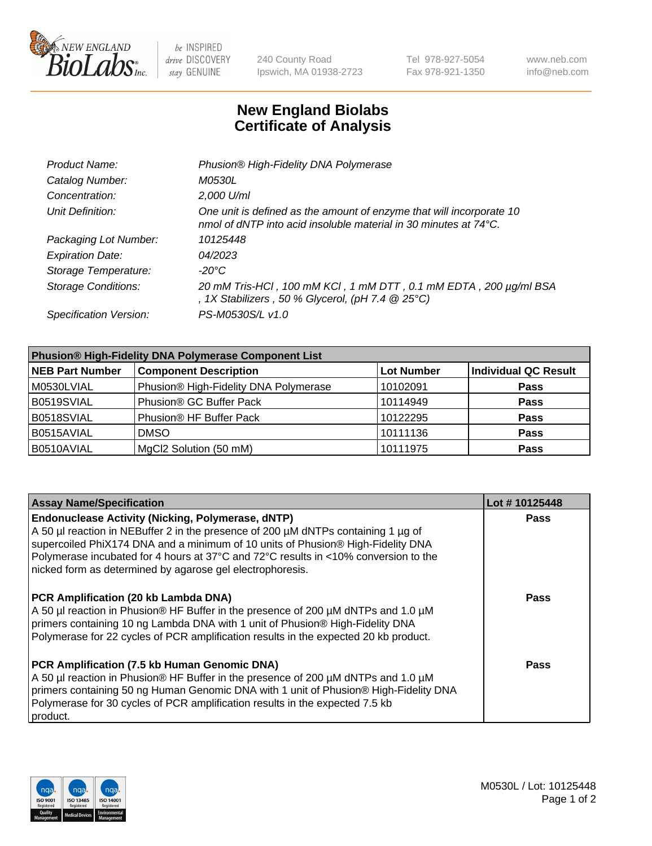

be INSPIRED drive DISCOVERY stay GENUINE

240 County Road Ipswich, MA 01938-2723 Tel 978-927-5054 Fax 978-921-1350 www.neb.com info@neb.com

## **New England Biolabs Certificate of Analysis**

| Product Name:              | Phusion® High-Fidelity DNA Polymerase                                                                                                              |
|----------------------------|----------------------------------------------------------------------------------------------------------------------------------------------------|
| Catalog Number:            | <i>M0530L</i>                                                                                                                                      |
| Concentration:             | 2,000 U/ml                                                                                                                                         |
| Unit Definition:           | One unit is defined as the amount of enzyme that will incorporate 10<br>nmol of dNTP into acid insoluble material in 30 minutes at $74^{\circ}$ C. |
| Packaging Lot Number:      | 10125448                                                                                                                                           |
| <b>Expiration Date:</b>    | 04/2023                                                                                                                                            |
| Storage Temperature:       | $-20^{\circ}$ C                                                                                                                                    |
| <b>Storage Conditions:</b> | 20 mM Tris-HCl, 100 mM KCl, 1 mM DTT, 0.1 mM EDTA, 200 µg/ml BSA<br>, 1X Stabilizers, 50 % Glycerol, (pH 7.4 $@25°C$ )                             |
| Specification Version:     | PS-M0530S/L v1.0                                                                                                                                   |

| <b>Phusion® High-Fidelity DNA Polymerase Component List</b> |                                       |                   |                             |  |
|-------------------------------------------------------------|---------------------------------------|-------------------|-----------------------------|--|
| <b>NEB Part Number</b>                                      | <b>Component Description</b>          | <b>Lot Number</b> | <b>Individual QC Result</b> |  |
| M0530LVIAL                                                  | Phusion® High-Fidelity DNA Polymerase | 10102091          | <b>Pass</b>                 |  |
| B0519SVIAL                                                  | Phusion <sup>®</sup> GC Buffer Pack   | 10114949          | <b>Pass</b>                 |  |
| B0518SVIAL                                                  | Phusion® HF Buffer Pack               | 10122295          | <b>Pass</b>                 |  |
| B0515AVIAL                                                  | <b>DMSO</b>                           | 10111136          | <b>Pass</b>                 |  |
| B0510AVIAL                                                  | MgCl2 Solution (50 mM)                | 10111975          | <b>Pass</b>                 |  |

| <b>Assay Name/Specification</b>                                                                                                                                                                                                                                                                                                                                                      | Lot #10125448 |
|--------------------------------------------------------------------------------------------------------------------------------------------------------------------------------------------------------------------------------------------------------------------------------------------------------------------------------------------------------------------------------------|---------------|
| <b>Endonuclease Activity (Nicking, Polymerase, dNTP)</b><br>A 50 µl reaction in NEBuffer 2 in the presence of 200 µM dNTPs containing 1 µg of<br>supercoiled PhiX174 DNA and a minimum of 10 units of Phusion® High-Fidelity DNA<br>Polymerase incubated for 4 hours at 37°C and 72°C results in <10% conversion to the<br>nicked form as determined by agarose gel electrophoresis. | <b>Pass</b>   |
| <b>PCR Amplification (20 kb Lambda DNA)</b><br>A 50 µl reaction in Phusion® HF Buffer in the presence of 200 µM dNTPs and 1.0 µM<br>primers containing 10 ng Lambda DNA with 1 unit of Phusion® High-Fidelity DNA<br>Polymerase for 22 cycles of PCR amplification results in the expected 20 kb product.                                                                            | Pass          |
| PCR Amplification (7.5 kb Human Genomic DNA)<br>A 50 µl reaction in Phusion® HF Buffer in the presence of 200 µM dNTPs and 1.0 µM<br>primers containing 50 ng Human Genomic DNA with 1 unit of Phusion® High-Fidelity DNA<br>Polymerase for 30 cycles of PCR amplification results in the expected 7.5 kb<br>product.                                                                | Pass          |